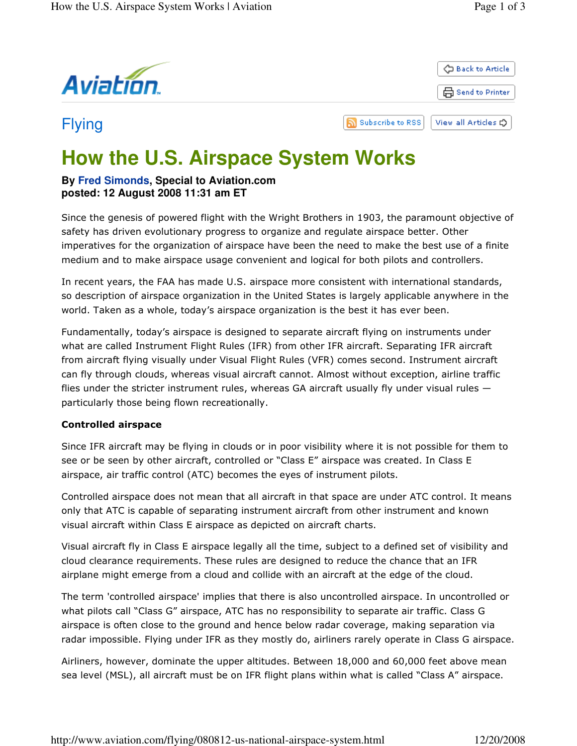

# **How the U.S. Airspace System Works**

## **By Fred Simonds, Special to Aviation.com posted: 12 August 2008 11:31 am ET**

Since the genesis of powered flight with the Wright Brothers in 1903, the paramount objective of safety has driven evolutionary progress to organize and regulate airspace better. Other imperatives for the organization of airspace have been the need to make the best use of a finite medium and to make airspace usage convenient and logical for both pilots and controllers.

In recent years, the FAA has made U.S. airspace more consistent with international standards, so description of airspace organization in the United States is largely applicable anywhere in the world. Taken as a whole, today's airspace organization is the best it has ever been.

Fundamentally, today's airspace is designed to separate aircraft flying on instruments under what are called Instrument Flight Rules (IFR) from other IFR aircraft. Separating IFR aircraft from aircraft flying visually under Visual Flight Rules (VFR) comes second. Instrument aircraft can fly through clouds, whereas visual aircraft cannot. Almost without exception, airline traffic flies under the stricter instrument rules, whereas GA aircraft usually fly under visual rules  $$ particularly those being flown recreationally.

### Controlled airspace

Since IFR aircraft may be flying in clouds or in poor visibility where it is not possible for them to see or be seen by other aircraft, controlled or "Class E" airspace was created. In Class E airspace, air traffic control (ATC) becomes the eyes of instrument pilots.

Controlled airspace does not mean that all aircraft in that space are under ATC control. It means only that ATC is capable of separating instrument aircraft from other instrument and known visual aircraft within Class E airspace as depicted on aircraft charts.

Visual aircraft fly in Class E airspace legally all the time, subject to a defined set of visibility and cloud clearance requirements. These rules are designed to reduce the chance that an IFR airplane might emerge from a cloud and collide with an aircraft at the edge of the cloud.

The term 'controlled airspace' implies that there is also uncontrolled airspace. In uncontrolled or what pilots call "Class G" airspace, ATC has no responsibility to separate air traffic. Class G airspace is often close to the ground and hence below radar coverage, making separation via radar impossible. Flying under IFR as they mostly do, airliners rarely operate in Class G airspace.

Airliners, however, dominate the upper altitudes. Between 18,000 and 60,000 feet above mean sea level (MSL), all aircraft must be on IFR flight plans within what is called "Class A" airspace.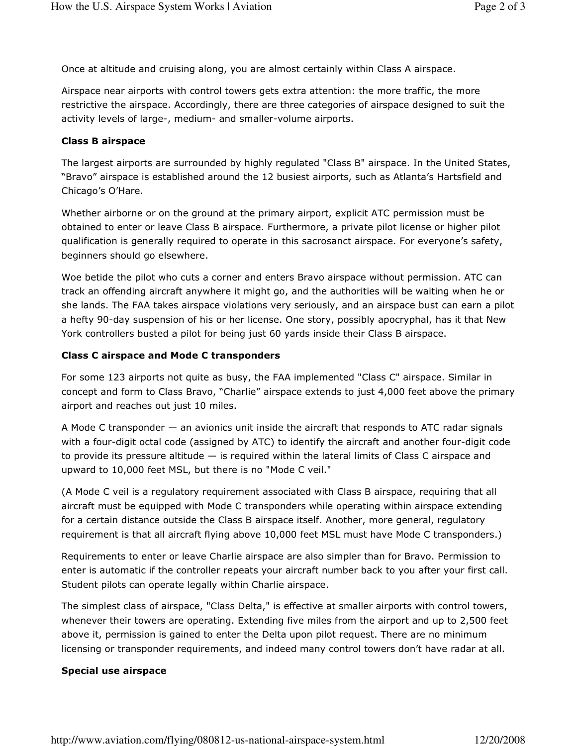Once at altitude and cruising along, you are almost certainly within Class A airspace.

Airspace near airports with control towers gets extra attention: the more traffic, the more restrictive the airspace. Accordingly, there are three categories of airspace designed to suit the activity levels of large-, medium- and smaller-volume airports.

#### Class B airspace

The largest airports are surrounded by highly regulated "Class B" airspace. In the United States, "Bravo" airspace is established around the 12 busiest airports, such as Atlanta's Hartsfield and Chicago's O'Hare.

Whether airborne or on the ground at the primary airport, explicit ATC permission must be obtained to enter or leave Class B airspace. Furthermore, a private pilot license or higher pilot qualification is generally required to operate in this sacrosanct airspace. For everyone's safety, beginners should go elsewhere.

Woe betide the pilot who cuts a corner and enters Bravo airspace without permission. ATC can track an offending aircraft anywhere it might go, and the authorities will be waiting when he or she lands. The FAA takes airspace violations very seriously, and an airspace bust can earn a pilot a hefty 90-day suspension of his or her license. One story, possibly apocryphal, has it that New York controllers busted a pilot for being just 60 yards inside their Class B airspace.

#### Class C airspace and Mode C transponders

For some 123 airports not quite as busy, the FAA implemented "Class C" airspace. Similar in concept and form to Class Bravo, "Charlie" airspace extends to just 4,000 feet above the primary airport and reaches out just 10 miles.

A Mode C transponder — an avionics unit inside the aircraft that responds to ATC radar signals with a four-digit octal code (assigned by ATC) to identify the aircraft and another four-digit code to provide its pressure altitude — is required within the lateral limits of Class C airspace and upward to 10,000 feet MSL, but there is no "Mode C veil."

(A Mode C veil is a regulatory requirement associated with Class B airspace, requiring that all aircraft must be equipped with Mode C transponders while operating within airspace extending for a certain distance outside the Class B airspace itself. Another, more general, regulatory requirement is that all aircraft flying above 10,000 feet MSL must have Mode C transponders.)

Requirements to enter or leave Charlie airspace are also simpler than for Bravo. Permission to enter is automatic if the controller repeats your aircraft number back to you after your first call. Student pilots can operate legally within Charlie airspace.

The simplest class of airspace, "Class Delta," is effective at smaller airports with control towers, whenever their towers are operating. Extending five miles from the airport and up to 2,500 feet above it, permission is gained to enter the Delta upon pilot request. There are no minimum licensing or transponder requirements, and indeed many control towers don't have radar at all.

#### Special use airspace